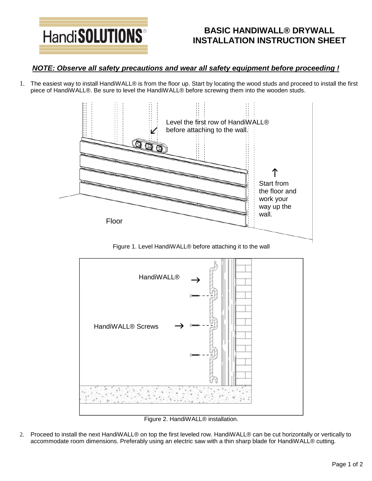

## **BASIC HANDIWALL® DRYWALL INSTALLATION INSTRUCTION SHEET**

## *NOTE: Observe all safety precautions and wear all safety equipment before proceeding !*

1. The easiest way to install HandiWALL® is from the floor up. Start by locating the wood studs and proceed to install the first piece of HandiWALL®. Be sure to level the HandiWALL® before screwing them into the wooden studs.



Figure 1. Level HandiWALL® before attaching it to the wall



Figure 2. HandiWALL® installation.

2. Proceed to install the next HandiWALL® on top the first leveled row. HandiWALL® can be cut horizontally or vertically to accommodate room dimensions. Preferably using an electric saw with a thin sharp blade for HandiWALL® cutting.